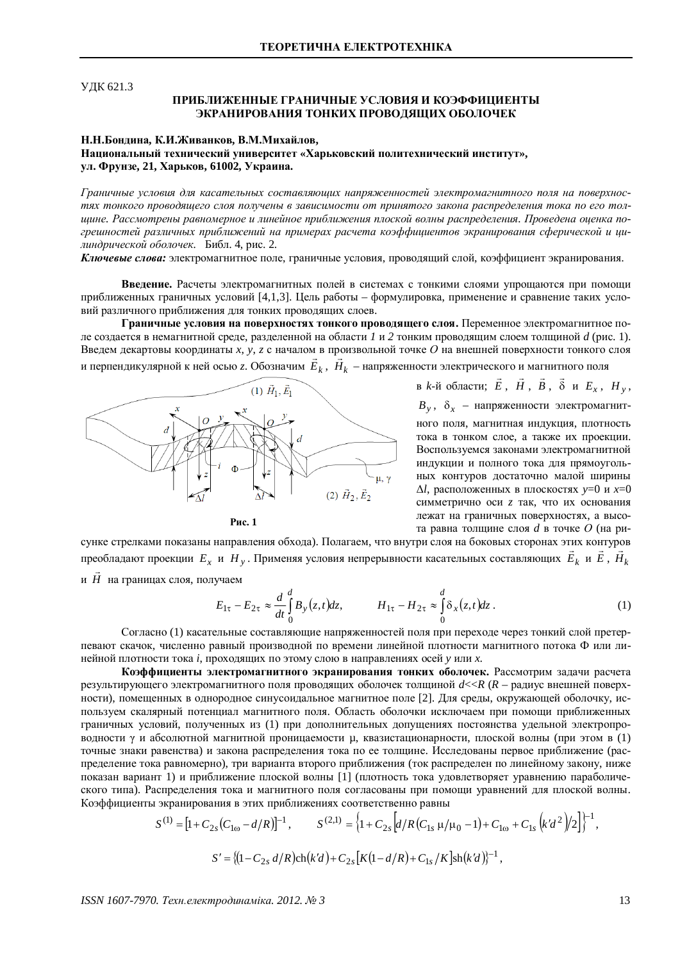**УЛК 621.3** 

## ПРИБЛИЖЕННЫЕ ГРАНИЧНЫЕ УСЛОВИЯ И КОЭФФИЦИЕНТЫ ЭКРАНИРОВАНИЯ ТОНКИХ ПРОВОЛЯШИХ ОБОЛОЧЕК

#### $H.H.E$ ондина, К.И.Живанков, В.М.Михайлов, Национальный технический университет «Харьковский политехнический институт», VЛ. Фрунзе, 21, Харьков, 61002, Украина.

Граничные условия для касательных составляющих напряженностей электромагнитного поля на поверхностях тонкого проводящего слоя получены в зависимости от принятого закона распределения тока по его толдине. Рассмотрены равномерное и линейное приближения плоской волны распределения. Проведена оценка погрешностей различных приближений на примерах расчета коэффициентов экранирования сферической и цилиндрической оболочек. Библ. 4, рис. 2.

Ключевые слова: электромагнитное поле, граничные условия, проводящий слой, коэффициент экранирования.

Введение. Расчеты электромагнитных полей в системах с тонкими слоями упрощаются при помощи приближенных граничных условий [4,1,3]. Цель работы – формулировка, применение и сравнение таких условий различного приближения для тонких проводящих слоев.

Граничные условия на поверхностях тонкого проводящего слоя. Переменное электромагнитное поле создается в немагнитной среде, разделенной на области 1 и 2 тонким проводящим слоем толщиной d (рис. 1). Введем декартовы координаты *x*, *y*, *z* с началом в произвольной точке O на внешней поверхности тонкого слоя и перпендикулярной к ней осью *z*. Обозначим  $\,E_{k} \,$ ,  $\,H_{k} \,$  – напряженности электрического и магнитного поля  $\overline{a}$  $\overline{a}$  $\overline{a}$ &



и $E_x$ ,  $H_y$ ,  $B_y$ ,  $\delta_x$  – напряженности электромагнитного поля, магнитная индукция, плотность тока в тонком слое, а также их проекции. Воспользуемся законами электромагнитной индукции и полного тока для прямоугольных контуров достаточно малой ширины  $\Delta l$ , расположенных в плоскостях *y*=0 и *x*=0 симметрично оси *z* так, что их основания лежат на граничных поверхностях, а высота равна толщине слоя *d* в точке *O* (на ри-

, *H*

, *B*

, G

сунке стрелками показаны направления обхода). Полагаем, что внутри слоя на боковых сторонах этих контуров<br>преобладают проекции  $E_x$  и  $H_y$ . Применяя условия непрерывности касательных составляющих  $E_k$  и  $E$ ,  $H_k$ ɢ *H*  $\rightarrow$ на границах слоя, получаем

$$
E_{1\tau} - E_{2\tau} \approx \frac{d}{dt} \int_0^d B_y(z, t) dz, \qquad H_{1\tau} - H_{2\tau} \approx \int_0^d \delta_x(z, t) dz.
$$
 (1)

в *k*-й области; *E* 

Согласно (1) касательные составляющие напряженностей поля при переходе через тонкий слой претерпевают скачок, численно равный производной по времени линейной плотности магнитного потока Ф или линейной плотности тока *i*, проходящих по этому слою в направлениях осей у или *x*.

Коэффициенты электромагнитного экранирования тонких оболочек. Рассмотрим задачи расчета результирующего электромагнитного поля проводящих оболочек толщиной  $d \lt K R$  ( $R$  – радиус внешней поверхности), помещенных в однородное синусоидальное магнитное поле [2]. Для среды, окружающей оболочку, используем скалярный потенциал магнитного поля. Область оболочки исключаем при помощи приближенных граничных условий, полученных из (1) при дополнительных допущениях постоянства удельной электропроводности у и абсолютной магнитной проницаемости µ, квазистационарности, плоской волны (при этом в (1) точные знаки равенства) и закона распределения тока по ее толщине. Исследованы первое приближение (распределение тока равномерно), три варианта второго приближения (ток распределен по линейному закону, ниже показан вариант 1) и приближение плоской волны [1] (плотность тока удовлетворяет уравнению параболического типа). Распределения тока и магнитного поля согласованы при помощи уравнений для плоской волны. Коэффициенты экранирования в этих приближениях соответственно равны

$$
S^{(1)} = [1 + C_{2s}(C_{1\omega} - d/R)]^{-1}, \qquad S^{(2,1)} = \left\{1 + C_{2s}[d/R(C_{1s} \mu/\mu_0 - 1) + C_{1\omega} + C_{1s}[k'd^2]/2]\right\}^{-1},
$$
  

$$
S' = \left\{(1 - C_{2s}d/R)ch(k'd) + C_{2s}[K(1 - d/R) + C_{1s}/K]sh(k'd)\right\}^{-1},
$$